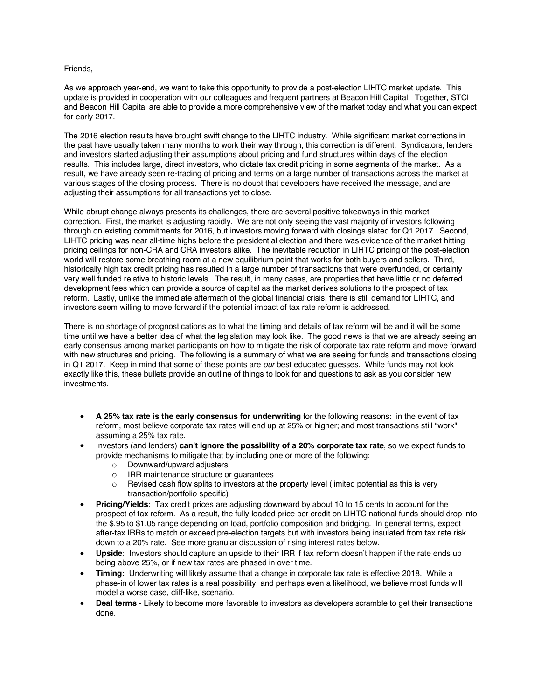## Friends,

As we approach year-end, we want to take this opportunity to provide a post-election LIHTC market update. This update is provided in cooperation with our colleagues and frequent partners at Beacon Hill Capital. Together, STCI and Beacon Hill Capital are able to provide a more comprehensive view of the market today and what you can expect for early 2017.

The 2016 election results have brought swift change to the LIHTC industry. While significant market corrections in the past have usually taken many months to work their way through, this correction is different. Syndicators, lenders and investors started adjusting their assumptions about pricing and fund structures within days of the election results. This includes large, direct investors, who dictate tax credit pricing in some segments of the market. As a result, we have already seen re-trading of pricing and terms on a large number of transactions across the market at various stages of the closing process. There is no doubt that developers have received the message, and are adjusting their assumptions for all transactions yet to close.

While abrupt change always presents its challenges, there are several positive takeaways in this market correction. First, the market is adjusting rapidly. We are not only seeing the vast majority of investors following through on existing commitments for 2016, but investors moving forward with closings slated for Q1 2017. Second, LIHTC pricing was near all-time highs before the presidential election and there was evidence of the market hitting pricing ceilings for non-CRA and CRA investors alike. The inevitable reduction in LIHTC pricing of the post-election world will restore some breathing room at a new equilibrium point that works for both buyers and sellers. Third, historically high tax credit pricing has resulted in a large number of transactions that were overfunded, or certainly very well funded relative to historic levels. The result, in many cases, are properties that have little or no deferred development fees which can provide a source of capital as the market derives solutions to the prospect of tax reform. Lastly, unlike the immediate aftermath of the global financial crisis, there is still demand for LIHTC, and investors seem willing to move forward if the potential impact of tax rate reform is addressed.

There is no shortage of prognostications as to what the timing and details of tax reform will be and it will be some time until we have a better idea of what the legislation may look like. The good news is that we are already seeing an early consensus among market participants on how to mitigate the risk of corporate tax rate reform and move forward with new structures and pricing. The following is a summary of what we are seeing for funds and transactions closing in Q1 2017. Keep in mind that some of these points are *our* best educated guesses. While funds may not look exactly like this, these bullets provide an outline of things to look for and questions to ask as you consider new investments.

- **A 25% tax rate is the early consensus for underwriting** for the following reasons: in the event of tax reform, most believe corporate tax rates will end up at 25% or higher; and most transactions still "work" assuming a 25% tax rate.
- Investors (and lenders) **can't ignore the possibility of a 20% corporate tax rate**, so we expect funds to provide mechanisms to mitigate that by including one or more of the following:
	- o Downward/upward adjusters
	- o IRR maintenance structure or guarantees
	- $\circ$  Revised cash flow splits to investors at the property level (limited potential as this is very transaction/portfolio specific)
- **Pricing/Yields**: Tax credit prices are adjusting downward by about 10 to 15 cents to account for the prospect of tax reform. As a result, the fully loaded price per credit on LIHTC national funds should drop into the \$.95 to \$1.05 range depending on load, portfolio composition and bridging. In general terms, expect after-tax IRRs to match or exceed pre-election targets but with investors being insulated from tax rate risk down to a 20% rate. See more granular discussion of rising interest rates below.
- **Upside**: Investors should capture an upside to their IRR if tax reform doesn't happen if the rate ends up being above 25%, or if new tax rates are phased in over time.
- **Timing:** Underwriting will likely assume that a change in corporate tax rate is effective 2018. While a phase-in of lower tax rates is a real possibility, and perhaps even a likelihood, we believe most funds will model a worse case, cliff-like, scenario.
- **Deal terms -** Likely to become more favorable to investors as developers scramble to get their transactions done.